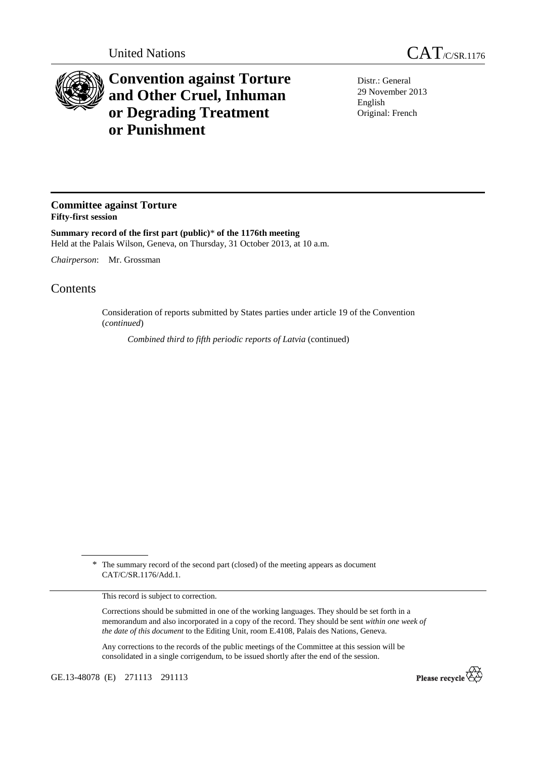

## **Convention against Torture and Other Cruel, Inhuman or Degrading Treatment or Punishment**

Distr.: General 29 November 2013 English Original: French

## **Committee against Torture Fifty-first session**

**Summary record of the first part (public)**\* **of the 1176th meeting**  Held at the Palais Wilson, Geneva, on Thursday, 31 October 2013, at 10 a.m.

*Chairperson*: Mr. Grossman

## **Contents**

Consideration of reports submitted by States parties under article 19 of the Convention (*continued*)

*Combined third to fifth periodic reports of Latvia* (continued)

\* The summary record of the second part (closed) of the meeting appears as document CAT/C/SR.1176/Add.1.

This record is subject to correction.

Corrections should be submitted in one of the working languages. They should be set forth in a memorandum and also incorporated in a copy of the record. They should be sent *within one week of the date of this document* to the Editing Unit, room E.4108, Palais des Nations, Geneva.

Any corrections to the records of the public meetings of the Committee at this session will be consolidated in a single corrigendum, to be issued shortly after the end of the session.

GE.13-48078 (E) 271113 291113

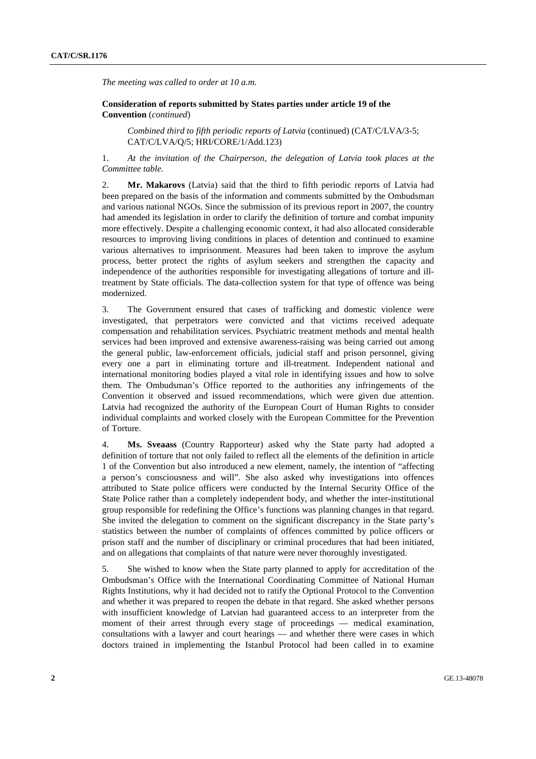*The meeting was called to order at 10 a.m.* 

 **Consideration of reports submitted by States parties under article 19 of the Convention** (*continued*)

*Combined third to fifth periodic reports of Latvia* (continued) (CAT/C/LVA/3-5; CAT/C/LVA/Q/5; HRI/CORE/1/Add.123)

1. *At the invitation of the Chairperson, the delegation of Latvia took places at the Committee table.* 

2. **Mr. Makarovs** (Latvia) said that the third to fifth periodic reports of Latvia had been prepared on the basis of the information and comments submitted by the Ombudsman and various national NGOs. Since the submission of its previous report in 2007, the country had amended its legislation in order to clarify the definition of torture and combat impunity more effectively. Despite a challenging economic context, it had also allocated considerable resources to improving living conditions in places of detention and continued to examine various alternatives to imprisonment. Measures had been taken to improve the asylum process, better protect the rights of asylum seekers and strengthen the capacity and independence of the authorities responsible for investigating allegations of torture and illtreatment by State officials. The data-collection system for that type of offence was being modernized.

3. The Government ensured that cases of trafficking and domestic violence were investigated, that perpetrators were convicted and that victims received adequate compensation and rehabilitation services. Psychiatric treatment methods and mental health services had been improved and extensive awareness-raising was being carried out among the general public, law-enforcement officials, judicial staff and prison personnel, giving every one a part in eliminating torture and ill-treatment. Independent national and international monitoring bodies played a vital role in identifying issues and how to solve them. The Ombudsman's Office reported to the authorities any infringements of the Convention it observed and issued recommendations, which were given due attention. Latvia had recognized the authority of the European Court of Human Rights to consider individual complaints and worked closely with the European Committee for the Prevention of Torture.

4. **Ms. Sveaass** (Country Rapporteur) asked why the State party had adopted a definition of torture that not only failed to reflect all the elements of the definition in article 1 of the Convention but also introduced a new element, namely, the intention of "affecting a person's consciousness and will". She also asked why investigations into offences attributed to State police officers were conducted by the Internal Security Office of the State Police rather than a completely independent body, and whether the inter-institutional group responsible for redefining the Office's functions was planning changes in that regard. She invited the delegation to comment on the significant discrepancy in the State party's statistics between the number of complaints of offences committed by police officers or prison staff and the number of disciplinary or criminal procedures that had been initiated, and on allegations that complaints of that nature were never thoroughly investigated.

5. She wished to know when the State party planned to apply for accreditation of the Ombudsman's Office with the International Coordinating Committee of National Human Rights Institutions, why it had decided not to ratify the Optional Protocol to the Convention and whether it was prepared to reopen the debate in that regard. She asked whether persons with insufficient knowledge of Latvian had guaranteed access to an interpreter from the moment of their arrest through every stage of proceedings — medical examination, consultations with a lawyer and court hearings — and whether there were cases in which doctors trained in implementing the Istanbul Protocol had been called in to examine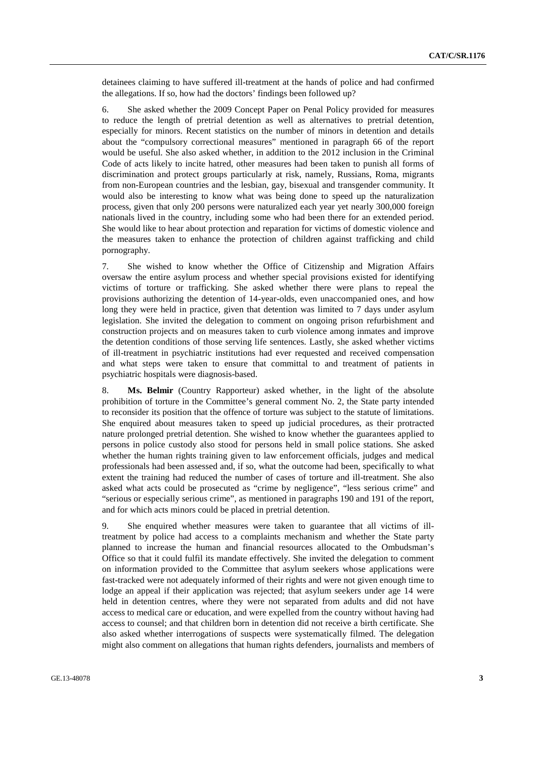detainees claiming to have suffered ill-treatment at the hands of police and had confirmed the allegations. If so, how had the doctors' findings been followed up?

6. She asked whether the 2009 Concept Paper on Penal Policy provided for measures to reduce the length of pretrial detention as well as alternatives to pretrial detention, especially for minors. Recent statistics on the number of minors in detention and details about the "compulsory correctional measures" mentioned in paragraph 66 of the report would be useful. She also asked whether, in addition to the 2012 inclusion in the Criminal Code of acts likely to incite hatred, other measures had been taken to punish all forms of discrimination and protect groups particularly at risk, namely, Russians, Roma, migrants from non-European countries and the lesbian, gay, bisexual and transgender community. It would also be interesting to know what was being done to speed up the naturalization process, given that only 200 persons were naturalized each year yet nearly 300,000 foreign nationals lived in the country, including some who had been there for an extended period. She would like to hear about protection and reparation for victims of domestic violence and the measures taken to enhance the protection of children against trafficking and child pornography.

7. She wished to know whether the Office of Citizenship and Migration Affairs oversaw the entire asylum process and whether special provisions existed for identifying victims of torture or trafficking. She asked whether there were plans to repeal the provisions authorizing the detention of 14-year-olds, even unaccompanied ones, and how long they were held in practice, given that detention was limited to 7 days under asylum legislation. She invited the delegation to comment on ongoing prison refurbishment and construction projects and on measures taken to curb violence among inmates and improve the detention conditions of those serving life sentences. Lastly, she asked whether victims of ill-treatment in psychiatric institutions had ever requested and received compensation and what steps were taken to ensure that committal to and treatment of patients in psychiatric hospitals were diagnosis-based.

8. **Ms. Belmir** (Country Rapporteur) asked whether, in the light of the absolute prohibition of torture in the Committee's general comment No. 2, the State party intended to reconsider its position that the offence of torture was subject to the statute of limitations. She enquired about measures taken to speed up judicial procedures, as their protracted nature prolonged pretrial detention. She wished to know whether the guarantees applied to persons in police custody also stood for persons held in small police stations. She asked whether the human rights training given to law enforcement officials, judges and medical professionals had been assessed and, if so, what the outcome had been, specifically to what extent the training had reduced the number of cases of torture and ill-treatment. She also asked what acts could be prosecuted as "crime by negligence", "less serious crime" and "serious or especially serious crime", as mentioned in paragraphs 190 and 191 of the report, and for which acts minors could be placed in pretrial detention.

9. She enquired whether measures were taken to guarantee that all victims of illtreatment by police had access to a complaints mechanism and whether the State party planned to increase the human and financial resources allocated to the Ombudsman's Office so that it could fulfil its mandate effectively. She invited the delegation to comment on information provided to the Committee that asylum seekers whose applications were fast-tracked were not adequately informed of their rights and were not given enough time to lodge an appeal if their application was rejected; that asylum seekers under age 14 were held in detention centres, where they were not separated from adults and did not have access to medical care or education, and were expelled from the country without having had access to counsel; and that children born in detention did not receive a birth certificate. She also asked whether interrogations of suspects were systematically filmed. The delegation might also comment on allegations that human rights defenders, journalists and members of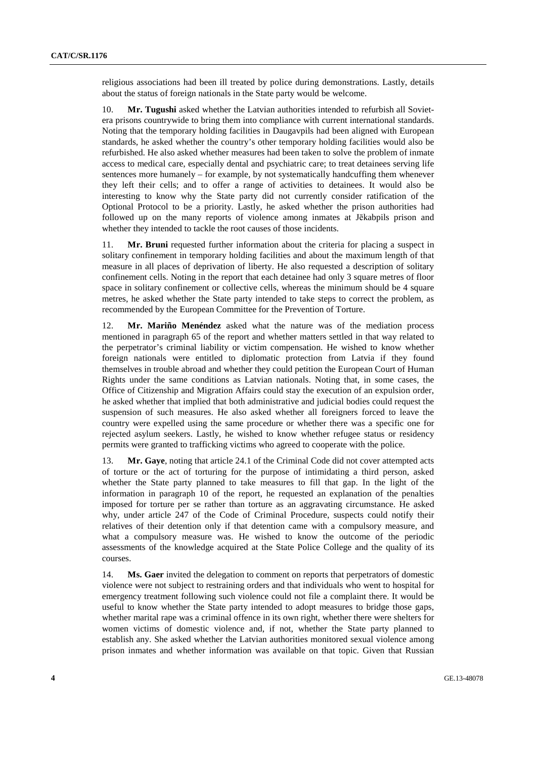religious associations had been ill treated by police during demonstrations. Lastly, details about the status of foreign nationals in the State party would be welcome.

10. **Mr. Tugushi** asked whether the Latvian authorities intended to refurbish all Sovietera prisons countrywide to bring them into compliance with current international standards. Noting that the temporary holding facilities in Daugavpils had been aligned with European standards, he asked whether the country's other temporary holding facilities would also be refurbished. He also asked whether measures had been taken to solve the problem of inmate access to medical care, especially dental and psychiatric care; to treat detainees serving life sentences more humanely – for example, by not systematically handcuffing them whenever they left their cells; and to offer a range of activities to detainees. It would also be interesting to know why the State party did not currently consider ratification of the Optional Protocol to be a priority. Lastly, he asked whether the prison authorities had followed up on the many reports of violence among inmates at Jēkabpils prison and whether they intended to tackle the root causes of those incidents.

11. **Mr. Bruni** requested further information about the criteria for placing a suspect in solitary confinement in temporary holding facilities and about the maximum length of that measure in all places of deprivation of liberty. He also requested a description of solitary confinement cells. Noting in the report that each detainee had only 3 square metres of floor space in solitary confinement or collective cells, whereas the minimum should be 4 square metres, he asked whether the State party intended to take steps to correct the problem, as recommended by the European Committee for the Prevention of Torture.

12. **Mr. Mariño Menéndez** asked what the nature was of the mediation process mentioned in paragraph 65 of the report and whether matters settled in that way related to the perpetrator's criminal liability or victim compensation. He wished to know whether foreign nationals were entitled to diplomatic protection from Latvia if they found themselves in trouble abroad and whether they could petition the European Court of Human Rights under the same conditions as Latvian nationals. Noting that, in some cases, the Office of Citizenship and Migration Affairs could stay the execution of an expulsion order, he asked whether that implied that both administrative and judicial bodies could request the suspension of such measures. He also asked whether all foreigners forced to leave the country were expelled using the same procedure or whether there was a specific one for rejected asylum seekers. Lastly, he wished to know whether refugee status or residency permits were granted to trafficking victims who agreed to cooperate with the police.

13. **Mr. Gaye**, noting that article 24.1 of the Criminal Code did not cover attempted acts of torture or the act of torturing for the purpose of intimidating a third person, asked whether the State party planned to take measures to fill that gap. In the light of the information in paragraph 10 of the report, he requested an explanation of the penalties imposed for torture per se rather than torture as an aggravating circumstance. He asked why, under article 247 of the Code of Criminal Procedure, suspects could notify their relatives of their detention only if that detention came with a compulsory measure, and what a compulsory measure was. He wished to know the outcome of the periodic assessments of the knowledge acquired at the State Police College and the quality of its courses.

14. **Ms. Gaer** invited the delegation to comment on reports that perpetrators of domestic violence were not subject to restraining orders and that individuals who went to hospital for emergency treatment following such violence could not file a complaint there. It would be useful to know whether the State party intended to adopt measures to bridge those gaps, whether marital rape was a criminal offence in its own right, whether there were shelters for women victims of domestic violence and, if not, whether the State party planned to establish any. She asked whether the Latvian authorities monitored sexual violence among prison inmates and whether information was available on that topic. Given that Russian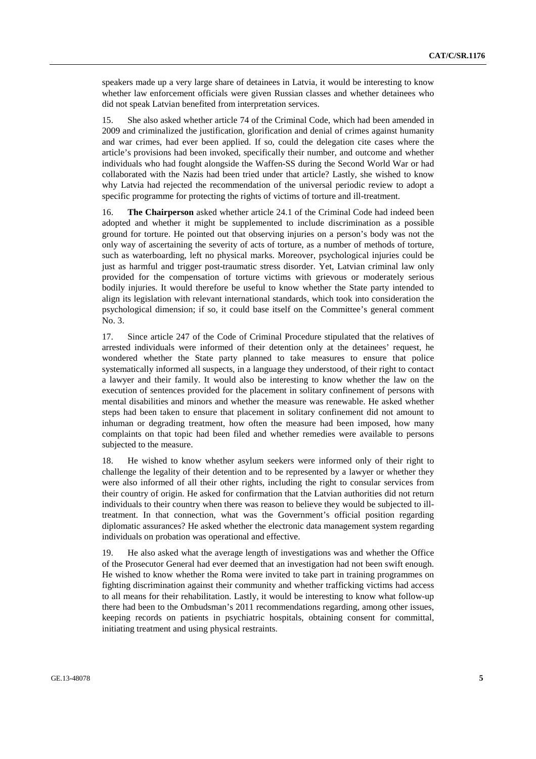speakers made up a very large share of detainees in Latvia, it would be interesting to know whether law enforcement officials were given Russian classes and whether detainees who did not speak Latvian benefited from interpretation services.

15. She also asked whether article 74 of the Criminal Code, which had been amended in 2009 and criminalized the justification, glorification and denial of crimes against humanity and war crimes, had ever been applied. If so, could the delegation cite cases where the article's provisions had been invoked, specifically their number, and outcome and whether individuals who had fought alongside the Waffen-SS during the Second World War or had collaborated with the Nazis had been tried under that article? Lastly, she wished to know why Latvia had rejected the recommendation of the universal periodic review to adopt a specific programme for protecting the rights of victims of torture and ill-treatment.

16. **The Chairperson** asked whether article 24.1 of the Criminal Code had indeed been adopted and whether it might be supplemented to include discrimination as a possible ground for torture. He pointed out that observing injuries on a person's body was not the only way of ascertaining the severity of acts of torture, as a number of methods of torture, such as waterboarding, left no physical marks. Moreover, psychological injuries could be just as harmful and trigger post-traumatic stress disorder. Yet, Latvian criminal law only provided for the compensation of torture victims with grievous or moderately serious bodily injuries. It would therefore be useful to know whether the State party intended to align its legislation with relevant international standards, which took into consideration the psychological dimension; if so, it could base itself on the Committee's general comment No. 3.

17. Since article 247 of the Code of Criminal Procedure stipulated that the relatives of arrested individuals were informed of their detention only at the detainees' request, he wondered whether the State party planned to take measures to ensure that police systematically informed all suspects, in a language they understood, of their right to contact a lawyer and their family. It would also be interesting to know whether the law on the execution of sentences provided for the placement in solitary confinement of persons with mental disabilities and minors and whether the measure was renewable. He asked whether steps had been taken to ensure that placement in solitary confinement did not amount to inhuman or degrading treatment, how often the measure had been imposed, how many complaints on that topic had been filed and whether remedies were available to persons subjected to the measure.

18. He wished to know whether asylum seekers were informed only of their right to challenge the legality of their detention and to be represented by a lawyer or whether they were also informed of all their other rights, including the right to consular services from their country of origin. He asked for confirmation that the Latvian authorities did not return individuals to their country when there was reason to believe they would be subjected to illtreatment. In that connection, what was the Government's official position regarding diplomatic assurances? He asked whether the electronic data management system regarding individuals on probation was operational and effective.

19. He also asked what the average length of investigations was and whether the Office of the Prosecutor General had ever deemed that an investigation had not been swift enough. He wished to know whether the Roma were invited to take part in training programmes on fighting discrimination against their community and whether trafficking victims had access to all means for their rehabilitation. Lastly, it would be interesting to know what follow-up there had been to the Ombudsman's 2011 recommendations regarding, among other issues, keeping records on patients in psychiatric hospitals, obtaining consent for committal, initiating treatment and using physical restraints.